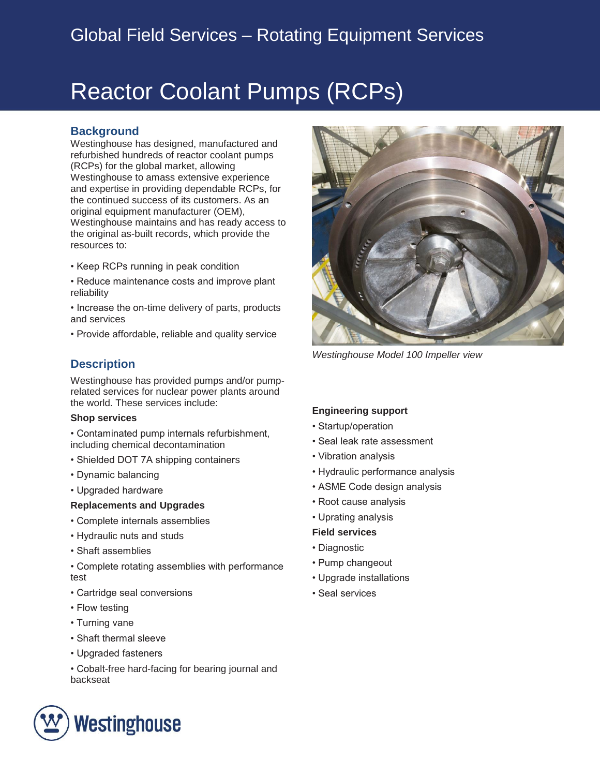# Reactor Coolant Pumps (RCPs)

## **Background**

Westinghouse has designed, manufactured and refurbished hundreds of reactor coolant pumps (RCPs) for the global market, allowing Westinghouse to amass extensive experience and expertise in providing dependable RCPs, for the continued success of its customers. As an original equipment manufacturer (OEM), Westinghouse maintains and has ready access to the original as-built records, which provide the resources to:

- Keep RCPs running in peak condition
- Reduce maintenance costs and improve plant reliability
- Increase the on-time delivery of parts, products and services
- Provide affordable, reliable and quality service

# **Description**

Westinghouse has provided pumps and/or pumprelated services for nuclear power plants around the world. These services include:

#### **Shop services**

• Contaminated pump internals refurbishment, including chemical decontamination

- Shielded DOT 7A shipping containers
- Dynamic balancing
- Upgraded hardware

#### **Replacements and Upgrades**

- Complete internals assemblies
- Hydraulic nuts and studs
- Shaft assemblies
- Complete rotating assemblies with performance test
- Cartridge seal conversions
- Flow testing
- Turning vane
- Shaft thermal sleeve
- Upgraded fasteners
- Cobalt-free hard-facing for bearing journal and backseat





*Westinghouse Model 100 Impeller view*

#### **Engineering support**

- Startup/operation
- Seal leak rate assessment
- Vibration analysis
- Hydraulic performance analysis
- ASME Code design analysis
- Root cause analysis
- Uprating analysis
- **Field services**
- Diagnostic
- Pump changeout
- Upgrade installations
- Seal services